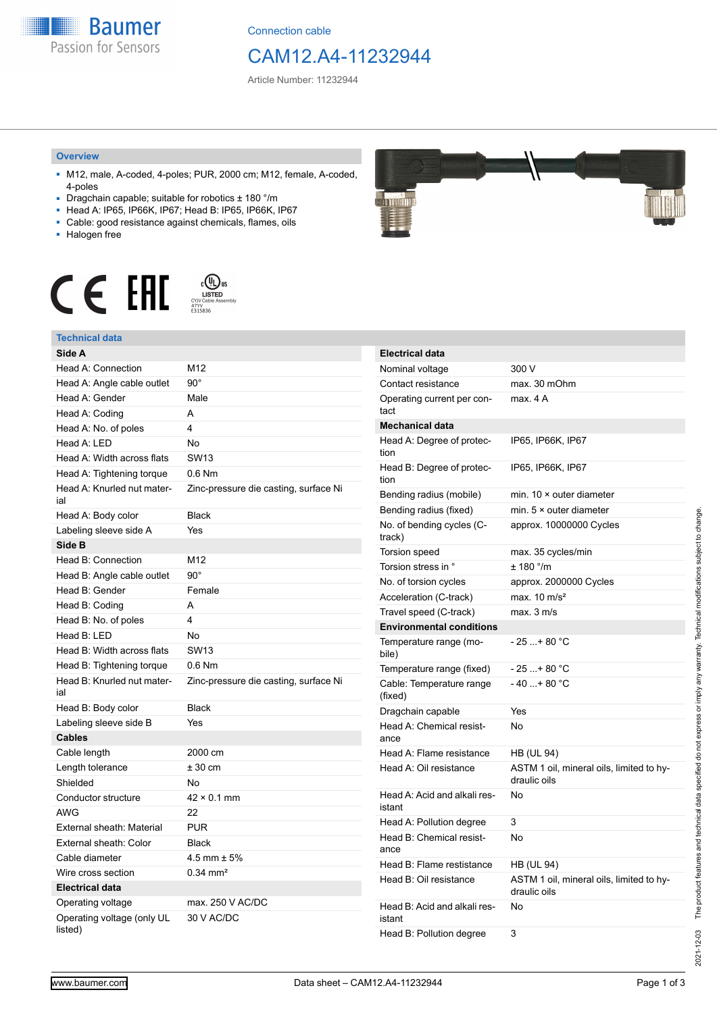**Baumer** Passion for Sensors

Connection cable

## CAM12.A4-11232944

Article Number: 11232944

#### **Overview**

- M12, male, A-coded, 4-poles; PUR, 2000 cm; M12, female, A-coded, 4-poles
- Dragchain capable; suitable for robotics ± 180 °/m
- Head A: IP65, IP66K, IP67; Head B: IP65, IP66K, IP67
- Cable: good resistance against chemicals, flames, oils
- Halogen free



## **Technical data**

| Technical uald                        |                                       |
|---------------------------------------|---------------------------------------|
| Side A                                |                                       |
| Head A: Connection                    | M12                                   |
| Head A: Angle cable outlet            | $90^\circ$                            |
| Head A: Gender                        | Male                                  |
| Head A: Coding                        | A                                     |
| Head A: No. of poles                  | 4                                     |
| Head A: LED                           | No                                    |
| Head A: Width across flats            | <b>SW13</b>                           |
| Head A: Tightening torque             | $0.6$ Nm                              |
| Head A: Knurled nut mater-<br>ial     | Zinc-pressure die casting, surface Ni |
| Head A: Body color                    | <b>Black</b>                          |
| Labeling sleeve side A                | Yes                                   |
| Side B                                |                                       |
| Head B: Connection                    | M12                                   |
| Head B: Angle cable outlet            | $90^\circ$                            |
| Head B: Gender                        | Female                                |
| Head B: Coding                        | A                                     |
| Head B: No. of poles                  | 4                                     |
| Head B: LED                           | No                                    |
| Head B: Width across flats            | <b>SW13</b>                           |
| Head B: Tightening torque             | $0.6$ Nm                              |
| Head B: Knurled nut mater-<br>ial     | Zinc-pressure die casting, surface Ni |
| Head B: Body color                    | <b>Black</b>                          |
| Labeling sleeve side B                | Yes                                   |
| <b>Cables</b>                         |                                       |
| Cable length                          | 2000 cm                               |
| Length tolerance                      | $± 30$ cm                             |
| Shielded                              | No                                    |
| Conductor structure                   | $42 \times 0.1$ mm                    |
| <b>AWG</b>                            | 22                                    |
| External sheath: Material             | <b>PUR</b>                            |
| External sheath: Color                | <b>Black</b>                          |
| Cable diameter                        | $4.5$ mm $\pm 5\%$                    |
| Wire cross section                    | $0.34 \, \text{mm}^2$                 |
| <b>Electrical data</b>                |                                       |
| Operating voltage                     | max. 250 V AC/DC                      |
| Operating voltage (only UL<br>listed) | 30 V AC/DC                            |



| <b>Electrical data</b>                 |                                                          |
|----------------------------------------|----------------------------------------------------------|
| Nominal voltage                        | 300 V                                                    |
| Contact resistance                     | max. 30 mOhm                                             |
| Operating current per con-<br>tact     | max. 4 A                                                 |
| <b>Mechanical data</b>                 |                                                          |
| Head A: Degree of protec-<br>tion      | IP65, IP66K, IP67                                        |
| Head B: Degree of protec-<br>tion      | IP65, IP66K, IP67                                        |
| Bending radius (mobile)                | min. $10 \times$ outer diameter                          |
| Bending radius (fixed)                 | min. $5 \times$ outer diameter                           |
| No. of bending cycles (C-<br>track)    | approx. 10000000 Cycles                                  |
| Torsion speed                          | max. 35 cycles/min                                       |
| Torsion stress in °                    | $± 180$ $^{\circ}$ /m                                    |
| No. of torsion cycles                  | approx. 2000000 Cycles                                   |
| Acceleration (C-track)                 | max. $10 \text{ m/s}^2$                                  |
| Travel speed (C-track)                 | max. 3 m/s                                               |
| <b>Environmental conditions</b>        |                                                          |
| Temperature range (mo-<br>bile)        | - 25 + 80 °C                                             |
| Temperature range (fixed)              | $-25+80 °C$                                              |
| Cable: Temperature range<br>(fixed)    | $-40+80 °C$                                              |
| Dragchain capable                      | Yes                                                      |
| Head A: Chemical resist-<br>ance       | No                                                       |
| Head A: Flame resistance               | HB (UL 94)                                               |
| Head A: Oil resistance                 | ASTM 1 oil, mineral oils, limited to hy-<br>draulic oils |
| Head A: Acid and alkali res-<br>istant | No                                                       |
| Head A: Pollution degree               | 3                                                        |
| Head B: Chemical resist-<br>ance       | No                                                       |
| Head B: Flame restistance              | HB (UL 94)                                               |
| Head B: Oil resistance                 | ASTM 1 oil, mineral oils, limited to hy-<br>draulic oils |
| Head B: Acid and alkali res-<br>istant | No                                                       |
| Head B: Pollution degree               | 3                                                        |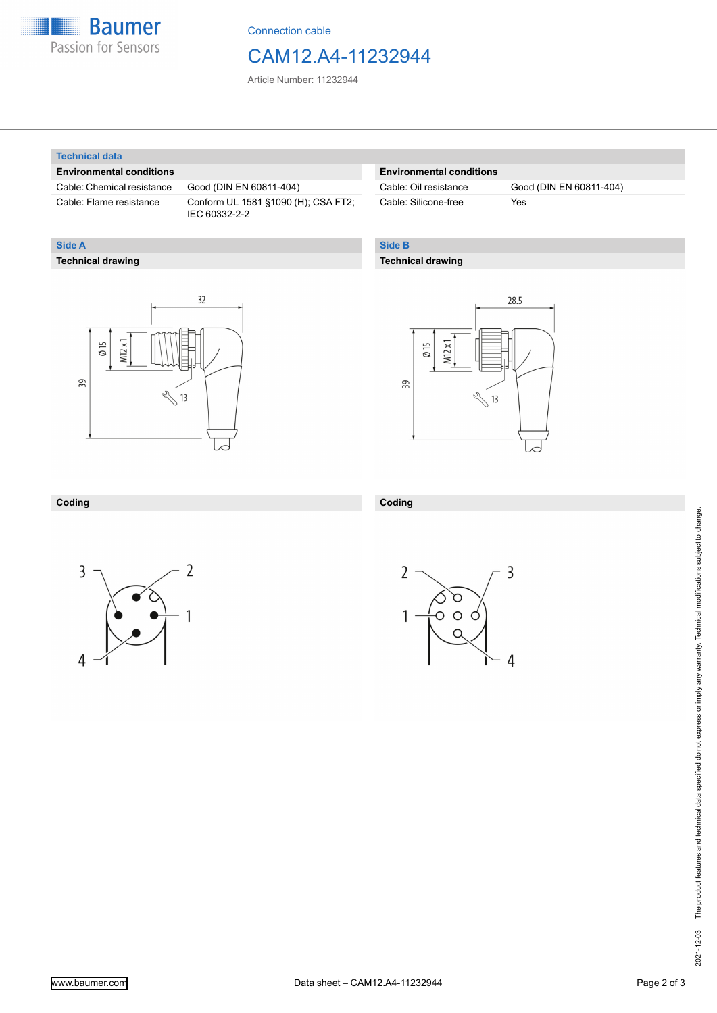

Connection cable

## CAM12.A4-11232944

Article Number: 11232944

#### **Technical data**

**Technical drawing**

**Side A**

#### **Environmental conditions**

Cable: Chemical resistance Good (DIN EN 60811-404)

Cable: Flame resistance Conform UL 1581 §1090 (H); CSA FT2; IEC 60332-2-2

## **Environmental conditions**

Cable: Silicone-free Yes

Cable: Oil resistance Good (DIN EN 60811-404)

## **Side B**

### **Technical drawing**





#### **Coding**



**Coding**